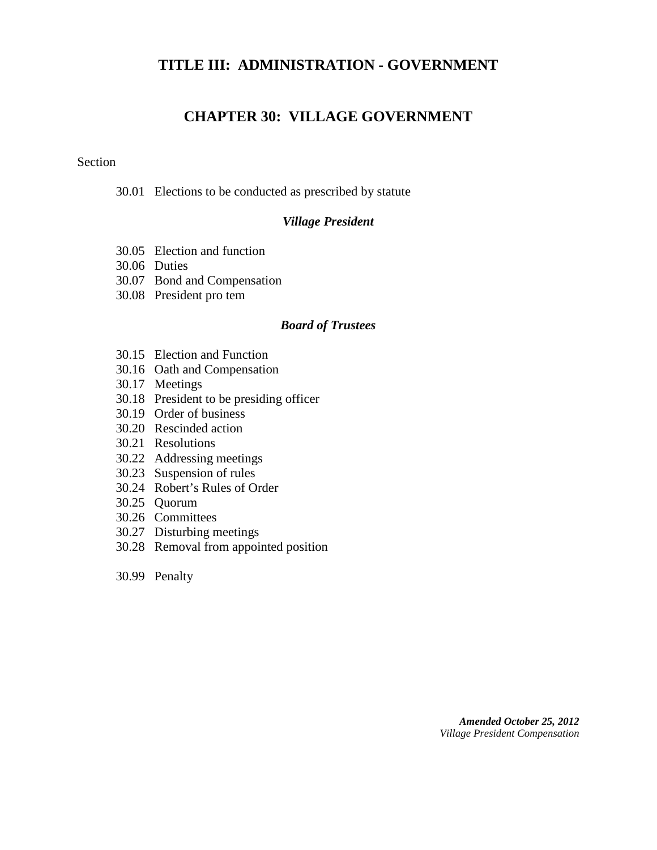## **TITLE III: ADMINISTRATION - GOVERNMENT**

# **CHAPTER 30: VILLAGE GOVERNMENT**

#### Section

30.01 Elections to be conducted as prescribed by statute

#### *Village President*

- 30.05 Election and function
- 30.06 Duties
- 30.07 Bond and Compensation
- 30.08 President pro tem

#### *Board of Trustees*

- 30.15 Election and Function
- 30.16 Oath and Compensation
- 30.17 Meetings
- 30.18 President to be presiding officer
- 30.19 Order of business
- 30.20 Rescinded action
- 30.21 Resolutions
- 30.22 Addressing meetings
- 30.23 Suspension of rules
- 30.24 Robert's Rules of Order
- 30.25 Quorum
- 30.26 Committees
- 30.27 Disturbing meetings
- 30.28 Removal from appointed position
- 30.99 Penalty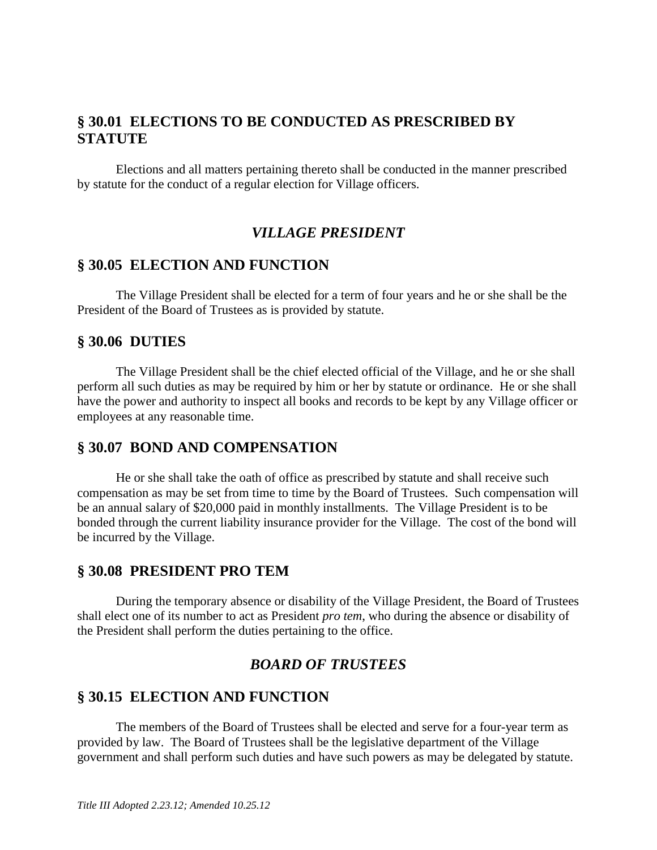# **§ 30.01 ELECTIONS TO BE CONDUCTED AS PRESCRIBED BY STATUTE**

Elections and all matters pertaining thereto shall be conducted in the manner prescribed by statute for the conduct of a regular election for Village officers.

# *VILLAGE PRESIDENT*

## **§ 30.05 ELECTION AND FUNCTION**

The Village President shall be elected for a term of four years and he or she shall be the President of the Board of Trustees as is provided by statute.

## **§ 30.06 DUTIES**

The Village President shall be the chief elected official of the Village, and he or she shall perform all such duties as may be required by him or her by statute or ordinance. He or she shall have the power and authority to inspect all books and records to be kept by any Village officer or employees at any reasonable time.

## **§ 30.07 BOND AND COMPENSATION**

He or she shall take the oath of office as prescribed by statute and shall receive such compensation as may be set from time to time by the Board of Trustees. Such compensation will be an annual salary of \$20,000 paid in monthly installments. The Village President is to be bonded through the current liability insurance provider for the Village. The cost of the bond will be incurred by the Village.

#### **§ 30.08 PRESIDENT PRO TEM**

During the temporary absence or disability of the Village President, the Board of Trustees shall elect one of its number to act as President *pro tem*, who during the absence or disability of the President shall perform the duties pertaining to the office.

## *BOARD OF TRUSTEES*

## **§ 30.15 ELECTION AND FUNCTION**

The members of the Board of Trustees shall be elected and serve for a four-year term as provided by law. The Board of Trustees shall be the legislative department of the Village government and shall perform such duties and have such powers as may be delegated by statute.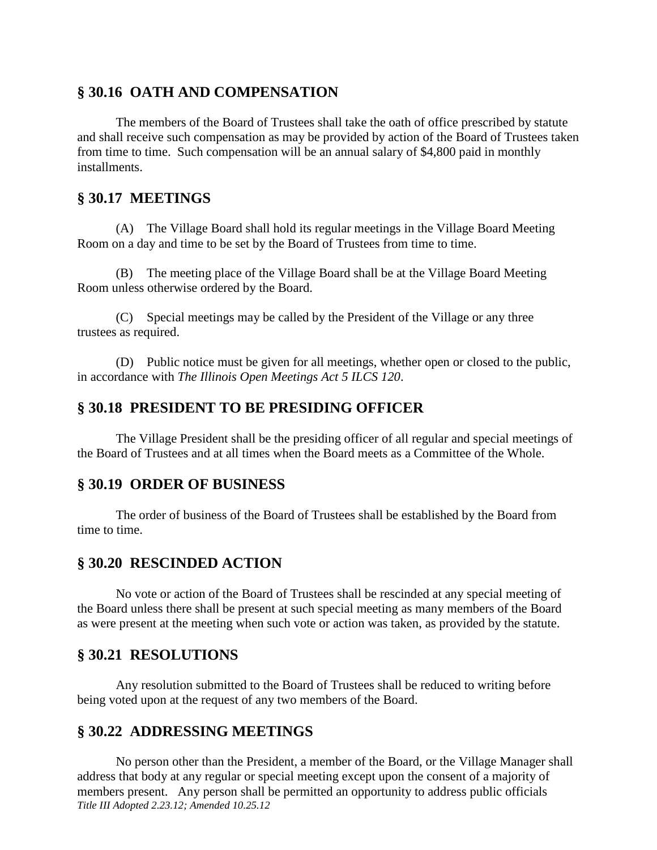## **§ 30.16 OATH AND COMPENSATION**

The members of the Board of Trustees shall take the oath of office prescribed by statute and shall receive such compensation as may be provided by action of the Board of Trustees taken from time to time. Such compensation will be an annual salary of \$4,800 paid in monthly installments.

#### **§ 30.17 MEETINGS**

(A) The Village Board shall hold its regular meetings in the Village Board Meeting Room on a day and time to be set by the Board of Trustees from time to time.

(B) The meeting place of the Village Board shall be at the Village Board Meeting Room unless otherwise ordered by the Board.

(C) Special meetings may be called by the President of the Village or any three trustees as required.

(D) Public notice must be given for all meetings, whether open or closed to the public, in accordance with *The Illinois Open Meetings Act 5 ILCS 120*.

## **§ 30.18 PRESIDENT TO BE PRESIDING OFFICER**

The Village President shall be the presiding officer of all regular and special meetings of the Board of Trustees and at all times when the Board meets as a Committee of the Whole.

#### **§ 30.19 ORDER OF BUSINESS**

The order of business of the Board of Trustees shall be established by the Board from time to time.

## **§ 30.20 RESCINDED ACTION**

No vote or action of the Board of Trustees shall be rescinded at any special meeting of the Board unless there shall be present at such special meeting as many members of the Board as were present at the meeting when such vote or action was taken, as provided by the statute.

## **§ 30.21 RESOLUTIONS**

Any resolution submitted to the Board of Trustees shall be reduced to writing before being voted upon at the request of any two members of the Board.

## **§ 30.22 ADDRESSING MEETINGS**

*Title III Adopted 2.23.12; Amended 10.25.12* No person other than the President, a member of the Board, or the Village Manager shall address that body at any regular or special meeting except upon the consent of a majority of members present. Any person shall be permitted an opportunity to address public officials